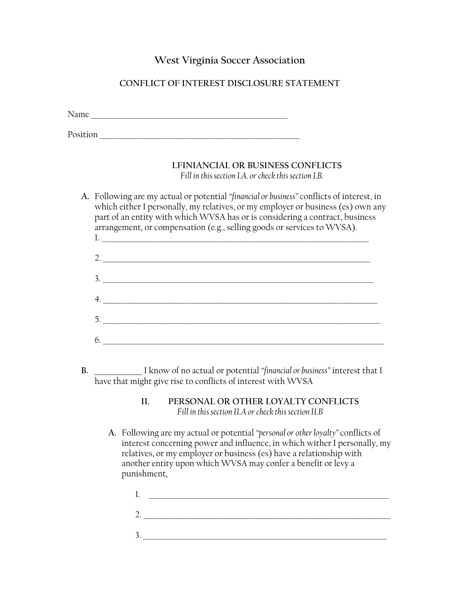## **West Virginia Soccer Association**

## **CONFLICT OF INTEREST DISCLOSURE STATEMENT**

Name \_\_\_\_\_\_\_\_\_\_\_\_\_\_\_\_\_\_\_\_\_\_\_\_\_\_\_\_\_\_\_\_\_\_\_\_\_\_\_\_\_\_\_\_\_\_\_\_\_\_\_\_\_\_\_\_\_\_

Position \_\_\_\_\_\_\_\_\_\_\_\_\_\_\_\_\_\_\_\_\_\_\_\_\_\_\_\_\_\_\_\_\_\_\_\_\_\_\_\_\_\_\_\_\_\_\_\_\_\_\_\_\_\_\_\_\_\_\_

## **I.FINIANCIAL OR BUSINESS CONFLICTS**  *Fill in this section I.A. or check this section I.B.*

**A.** Following are my actual or potential *"financial or business"* conflicts of interest, in which either I personally, my relatives, or my employer or business (es) own any part of an entity with which WVSA has or is considering a contract, business arrangement, or compensation (e.g., selling goods or services to WVSA).

| $\begin{tabular}{ c c c c } \hline $1$. & \begin{tabular}{ c c c c c } \hline \multicolumn{3}{ c }{\textbf{1}} & \multicolumn{3}{ c }{\textbf{1}} & \multicolumn{3}{ c }{\textbf{1}} & \multicolumn{3}{ c }{\textbf{1}} & \multicolumn{3}{ c }{\textbf{1}} & \multicolumn{3}{ c }{\textbf{1}} & \multicolumn{3}{ c }{\textbf{1}} & \multicolumn{3}{ c }{\textbf{1}} & \multicolumn{3}{ c }{\textbf{1}} & \multicolumn{3}{ c }{\textbf$ |
|----------------------------------------------------------------------------------------------------------------------------------------------------------------------------------------------------------------------------------------------------------------------------------------------------------------------------------------------------------------------------------------------------------------------------------------|
| 2. $\overline{\phantom{a}}$                                                                                                                                                                                                                                                                                                                                                                                                            |
| $\frac{3}{2}$                                                                                                                                                                                                                                                                                                                                                                                                                          |
| 4.                                                                                                                                                                                                                                                                                                                                                                                                                                     |
| $\begin{array}{c}\n5.\n\end{array}$                                                                                                                                                                                                                                                                                                                                                                                                    |
| $\begin{array}{c}\n6. \quad \textcolor{blue}{\textbf{5.2}}\n\end{array}$                                                                                                                                                                                                                                                                                                                                                               |

**B. \_\_\_\_\_\_\_\_\_\_\_\_\_** I know of no actual or potential *"financial or business"* interest that I have that might give rise to conflicts of interest with WVSA

> **II. PERSONAL OR OTHER LOYALTY CONFLICTS** *Fill in this section II.A or check this section II.B*

**A.** Following are my actual or potential *"personal or other loyalty"* conflicts of interest concerning power and influence, in which wither I personally, my relatives, or my employer or business (es) have a relationship with another entity upon which WVSA may confer a benefit or levy a punishment,

1. \_\_\_\_\_\_\_\_\_\_\_\_\_\_\_\_\_\_\_\_\_\_\_\_\_\_\_\_\_\_\_\_\_\_\_\_\_\_\_\_\_\_\_\_\_\_\_\_\_\_\_\_\_\_\_\_\_\_\_\_\_\_\_\_\_\_\_\_\_\_\_ 2. \_\_\_\_\_\_\_\_\_\_\_\_\_\_\_\_\_\_\_\_\_\_\_\_\_\_\_\_\_\_\_\_\_\_\_\_\_\_\_\_\_\_\_\_\_\_\_\_\_\_\_\_\_\_\_\_\_\_\_\_\_\_\_\_\_\_\_\_\_\_\_\_\_ 3. \_\_\_\_\_\_\_\_\_\_\_\_\_\_\_\_\_\_\_\_\_\_\_\_\_\_\_\_\_\_\_\_\_\_\_\_\_\_\_\_\_\_\_\_\_\_\_\_\_\_\_\_\_\_\_\_\_\_\_\_\_\_\_\_\_\_\_\_\_\_\_\_